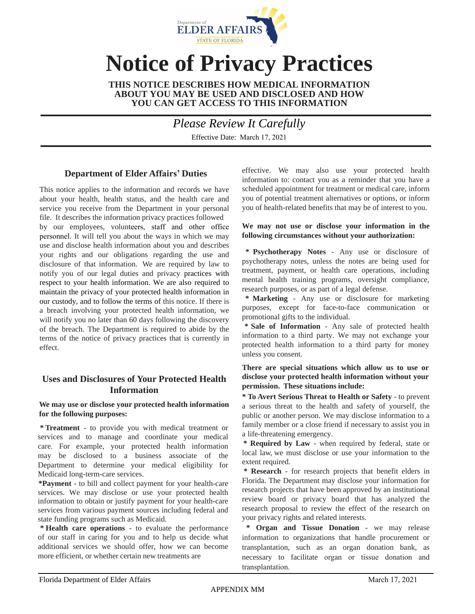

# **Notice of Privacy Practices**

**THIS NOTICE DESCRIBES HOW MEDICAL INFORMATION ABOUT YOU MAY BE USED AND DISCLOSED AND HOW YOU CAN GET ACCESS TO THIS INFORMATION** 

*Please Review It Carefully* 

Effective Date: March 17, 2021

# **Department of Elder Affairs' Duties**

This notice applies to the information and records we have about your health, health status, and the health care and service you receive from the Department in your personal file. It describes the information privacy practices followed by our employees, volunteers, staff and other office personnel. It will tell you about the ways in which we may use and disclose health information about you and describes your rights and our obligations regarding the use and disclosure of that information. We are required by law to notify you of our legal duties and privacy practices with respect to your health information. We are also required to maintain the privacy of your protected health information in our custody, and to follow the terms of this notice. If there is a breach involving your protected health information, we will notify you no later than 60 days following the discovery of the breach. The Department is required to abide by the terms of the notice of privacy practices that is currently in effect.

# **Uses and Disclosures of Your Protected Health Information**

#### **We may use or disclose your protected health information for the following purposes:**

**\* Treatment** - to provide you with medical treatment or services and to manage and coordinate your medical care. For example, your protected health information may be disclosed to a business associate of the Department to determine your medical eligibility for Medicaid long-term-care services.

**\*Payment** - to bill and collect payment for your health-care services. We may disclose or use your protected health information to obtain or justify payment for your health-care services from various payment sources including federal and state funding programs such as Medicaid.

**\* Health care operations** - to evaluate the performance of our staff in caring for you and to help us decide what additional services we should offer, how we can become more efficient, or whether certain new treatments are

effective. We may also use your protected health information to: contact you as a reminder that you have a scheduled appointment for treatment or medical care, inform you of potential treatment alternatives or options, or inform you of health-related benefits that may be of interest to you.

#### **We may not use or disclose your information in the following circumstances without your authorization:**

**\* Psychotherapy Notes** - Any use or disclosure of psychotherapy notes, unless the notes are being used for treatment, payment, or health care operations, including mental health training programs, oversight compliance, research purposes, or as part of a legal defense.

**\* Marketing** - Any use or disclosure for marketing purposes, except for face-to-face communication or promotional gifts to the individual.

**\* Sale of Information** - Any sale of protected health information to a third party. We may not exchange your protected health information to a third party for money unless you consent.

#### **There are special situations which allow us to use or disclose your protected health information without your permission. These situations include:**

**\* To Avert Serious Threat to Health or Safety** - to prevent a serious threat to the health and safety of yourself, the public or another person. We may disclose information to a family member or a close friend if necessary to assist you in a life-threatening emergency.

**\* Required by Law** - when required by federal, state or local law, we must disclose or use your information to the extent required.

**\* Research** - for research projects that benefit elders in Florida. The Department may disclose your information for research projects that have been approved by an institutional review board or privacy board that has analyzed the research proposal to review the effect of the research on your privacy rights and related interests.

**\* Organ and Tissue Donation** - we may release information to organizations that handle procurement or transplantation, such as an organ donation bank, as necessary to facilitate organ or tissue donation and transplantation.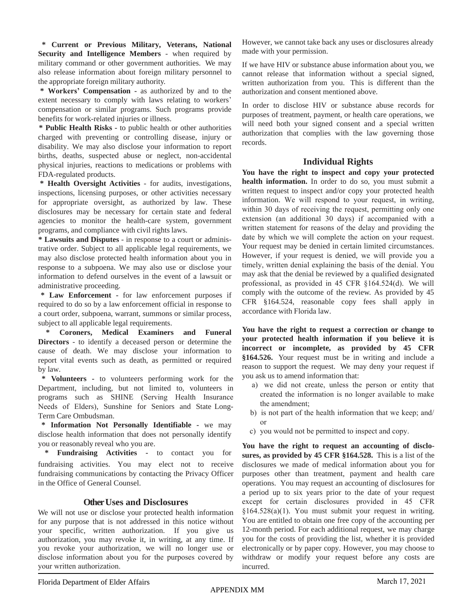**\* Current or Previous Military, Veterans, National Security and Intelligence Members** - when required by military command or other government authorities. We may also release information about foreign military personnel to the appropriate foreign military authority.

**\* Workers' Compensation -** as authorized by and to the extent necessary to comply with laws relating to workers' compensation or similar programs. Such programs provide benefits for work-related injuries or illness.

**\* Public Health Risks -** to public health or other authorities charged with preventing or controlling disease, injury or disability. We may also disclose your information to report births, deaths, suspected abuse or neglect, non-accidental physical injuries, reactions to medications or problems with FDA-regulated products.

**\* Health Oversight Activities** - for audits, investigations, inspections, licensing purposes, or other activities necessary for appropriate oversight, as authorized by law. These disclosures may be necessary for certain state and federal agencies to monitor the health-care system, government programs, and compliance with civil rights laws.

**\* Lawsuits and Disputes** - in response to a court or administrative order. Subject to all applicable legal requirements, we may also disclose protected health information about you in response to a subpoena. We may also use or disclose your information to defend ourselves in the event of a lawsuit or administrative proceeding.

**\* Law Enforcement -** for law enforcement purposes if required to do so by a law enforcement official in response to a court order, subpoena, warrant, summons or similar process, subject to all applicable legal requirements.

**\* Coroners, Medical Examiners and Funeral Directors** - to identify a deceased person or determine the cause of death. We may disclose your information to report vital events such as death, as permitted or required by law.

**\* Volunteers -** to volunteers performing work for the Department, including, but not limited to, volunteers in programs such as SHINE (Serving Health Insurance Needs of Elders), Sunshine for Seniors and State Long-Term Care Ombudsman.

**\* Information Not Personally Identifiable -** we may disclose health information that does not personally identify you or reasonably reveal who you are.

**\* Fundraising Activities -** to contact you for fundraising activities. You may elect not to receive fundraising communications by contacting the Privacy Officer in the Office of General Counsel.

## **Other Uses and Disclosures**

We will not use or disclose your protected health information for any purpose that is not addressed in this notice without your specific, written authorization. If you give us authorization, you may revoke it, in writing, at any time. If you revoke your authorization, we will no longer use or disclose information about you for the purposes covered by your written authorization.

However, we cannot take back any uses or disclosures already made with your permission.

If we have HIV or substance abuse information about you, we cannot release that information without a special signed, written authorization from you. This is different than the authorization and consent mentioned above.

In order to disclose HIV or substance abuse records for purposes of treatment, payment, or health care operations, we will need both your signed consent and a special written authorization that complies with the law governing those records.

## **Individual Rights**

**You have the right to inspect and copy your protected health information.** In order to do so, you must submit a written request to inspect and/or copy your protected health information. We will respond to your request, in writing, within 30 days of receiving the request, permitting only one extension (an additional 30 days) if accompanied with a written statement for reasons of the delay and providing the date by which we will complete the action on your request. Your request may be denied in certain limited circumstances. However, if your request is denied, we will provide you a timely, written denial explaining the basis of the denial. You may ask that the denial be reviewed by a qualified designated professional, as provided in 45 CFR §164.524(d). We will comply with the outcome of the review. As provided by 45 CFR §164.524, reasonable copy fees shall apply in accordance with Florida law.

**You have the right to request a correction or change to your protected health information if you believe it is incorrect or incomplete, as provided by 45 CFR §164.526.** Your request must be in writing and include a reason to support the request. We may deny your request if you ask us to amend information that:

- a) we did not create, unless the person or entity that created the information is no longer available to make the amendment;
- b) is not part of the health information that we keep; and/ or
- c) you would not be permitted to inspect and copy.

**You have the right to request an accounting of disclosures, as provided by 45 CFR §164.528.** This is a list of the disclosures we made of medical information about you for purposes other than treatment, payment and health care operations. You may request an accounting of disclosures for a period up to six years prior to the date of your request except for certain disclosures provided in 45 CFR §164.528(a)(1). You must submit your request in writing. You are entitled to obtain one free copy of the accounting per 12-month period. For each additional request, we may charge you for the costs of providing the list, whether it is provided electronically or by paper copy. However, you may choose to withdraw or modify your request before any costs are incurred.